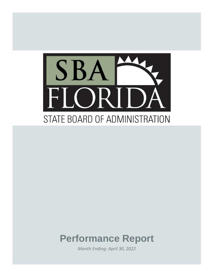

# **Performance Report**

*Month Ending: April 30, 2022*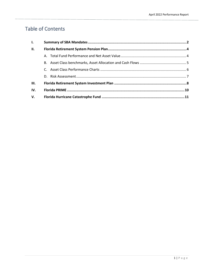# Table of Contents

| $\mathbf{L}$   |  |  |  |  |  |  |  |
|----------------|--|--|--|--|--|--|--|
| П.             |  |  |  |  |  |  |  |
|                |  |  |  |  |  |  |  |
|                |  |  |  |  |  |  |  |
|                |  |  |  |  |  |  |  |
|                |  |  |  |  |  |  |  |
| III.           |  |  |  |  |  |  |  |
| IV.            |  |  |  |  |  |  |  |
| V <sub>r</sub> |  |  |  |  |  |  |  |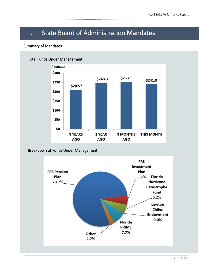# I. State Board of Administration Mandates

## Summary of Mandates



## Breakdown of Funds Under Management

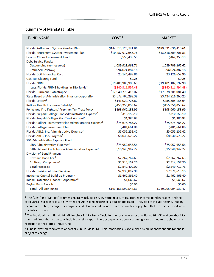## Summary of Mandates Table

| <b>FUND NAME</b>                                                    | COST <sup>1</sup>     | MARKET <sup>1</sup>   |
|---------------------------------------------------------------------|-----------------------|-----------------------|
| Florida Retirement System Pension Plan                              | \$144,513,123,741.96  | \$189,531,630,410.61  |
| Florida Retirement System Investment Plan                           | \$10,437,917,658.76   | \$13,616,809,201.81   |
| Lawton Chiles Endowment Fund <sup>3</sup>                           | \$555,435.53          | \$462,355.19          |
| Debt Service Funds:                                                 |                       |                       |
| Outstanding (non-escrow)                                            | 1,039,928,961.71      | 1,039,709,262.62      |
| Refunded (escrow)                                                   | 994,024,887.18        | 994,024,887.18        |
| Florida DOT Financing Corp                                          | 23,144,498.86         | 23,126,652.96         |
| <b>Gas Tax Clearing Fund</b>                                        | \$0.25                | \$0.25                |
| <b>Florida PRIME</b>                                                | \$19,489,988,906.63   | \$19,481,182,197.90   |
| Less Florida PRIME holdings in SBA funds <sup>2</sup>               | $($ \$840,311,594.48) | $($ \$840,311,594.48) |
| Florida Hurricane Catastrophe                                       | \$12,940,770,418.02   | \$12,578,301,081.40   |
| State Board of Administration Finance Corporation                   | \$3,572,705,298.38    | \$3,434,916,260.25    |
| Florida Lottery <sup>3</sup>                                        | \$141,029,726.62      | \$255,303,133.64      |
| Retiree Health Insurance Subsidy <sup>3</sup>                       | \$455,350,859.62      | \$455,350,859.62      |
| Police and Fire Fighters' Premium Tax Trust Fund <sup>3</sup>       | \$193,960,158.99      | \$193,960,158.99      |
| Florida Prepaid College Plan Administration Expense <sup>3</sup>    | \$310,156.10          | \$310,156.10          |
| Florida Prepaid College Plan Trust Account <sup>3</sup>             | \$1,386.94            | \$1,386.94            |
| Florida College Investment Plan Administration Expense <sup>3</sup> | \$75,673,785.27       | \$75,673,785.27       |
| Florida College Investment Plan <sup>3</sup>                        | \$401,661.06          | \$401,661.06          |
| Florida ABLE, Inc. Administrative Expense <sup>3</sup>              | \$3,055,232.42        | \$3,055,232.42        |
| Florida ABLE, Inc. Program <sup>3</sup>                             | \$8,030,576.22        | \$8,030,576.22        |
| SBA Administrative Expense Fund:                                    |                       |                       |
| SBA Administrative Expense <sup>3</sup>                             | \$75,952,653.54       | \$75,952,653.54       |
| SBA Defined Contribution Administrative Expense <sup>3</sup>        | \$15,948,947.22       | \$15,948,947.22       |
| <b>Division of Bond Finance:</b>                                    |                       |                       |
| Revenue Bond Fee <sup>3</sup>                                       | \$7,262,767.63        | \$7,262,767.63        |
| Arbitrage Compliance <sup>3</sup>                                   | \$2,514,157.20        | \$2,514,157.20        |
| <b>Bond Proceeds</b>                                                | \$2,849,400.00        | \$2,849,712.76        |
| <b>Florida Division of Blind Services</b>                           | \$2,938,847.98        | \$7,974,613.15        |
| Insurance Capital Build-up Program <sup>3</sup>                     | \$1,462,369.40        | \$1,462,369.40        |
| Inland Protection Finance Corporation <sup>3</sup>                  | \$1,645.62            | \$1,645.62            |
| Paying Bank Recalls                                                 | \$0.00                | \$0.00                |
| Total - All SBA Funds                                               | \$193,158,592,544.63  | \$240,965,904,532.47  |

**1** The "Cost" and "Market" columns generally include cash, investment securities, accrued income, pending trades, and the total unrealized gain or loss on invested securities lending cash collateral (if applicable). They do not include security lending income receivable, manager fees payable, and also may not include other receivables or payables that are unique to individual portfolios or funds.

**2** The line titled "Less Florida PRIME Holdings in SBA Funds" includes the total investments in Florida PRIME held by other SBA managed funds that are already included on this report. In order to prevent double counting, these amounts are shown as a reduction to the Florida PRIME fund.

**3** Fund is invested completely, or partially, in Florida PRIME. This information is not audited by an independent auditor and is subject to change.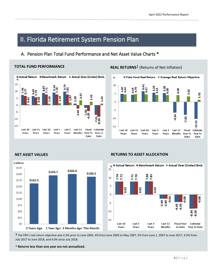# II. Florida Retirement System Pension Plan

# A. Pension Plan Total Fund Performance and Net Asset Value Charts \*

\$189.5

## **TOTAL FUND PERFORMANCE**



# **REAL RETURNS<sup>1</sup>** (Returns of Net Inflation)





\$125

\$100

**\$75** 

\$50

\$25

 $$0$ 

### **NET ASSET VALUES RETURNS TO ASSET ALLOCATION**



3 Years Ago 1 Year Ago 3 Months Ago This Month

**1** The FRS's real return objective was 4.3% prior to June 2003, 4% from June 2003 to May 2007, 5% from June 1, 2007 to June 2017, 4.5% from July 2017 to June 2018, and 4.0% since July 2018.

**\* Returns less than one year are not annualized.**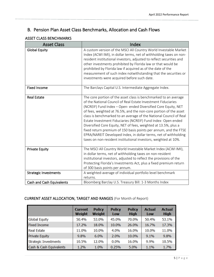# B. Pension Plan Asset Class Benchmarks, Allocation and Cash Flows

# ASSET CLASS BENCHMARKS

| <b>Asset Class</b>               | Index                                                                                                                                                                                                                                                                                                                                                                                                                                                                                                                                                                                                                                                                                         |
|----------------------------------|-----------------------------------------------------------------------------------------------------------------------------------------------------------------------------------------------------------------------------------------------------------------------------------------------------------------------------------------------------------------------------------------------------------------------------------------------------------------------------------------------------------------------------------------------------------------------------------------------------------------------------------------------------------------------------------------------|
| <b>Global Equity</b>             | A custom version of the MSCI All Country World Investable Market<br>Index (ACWI IMI), in dollar terms, net of withholding taxes on non-<br>resident institutional investors, adjusted to reflect securities and<br>other investments prohibited by Florida law or that would be<br>prohibited by Florida law if acquired as of the date of the<br>measurement of such index notwithstanding that the securities or<br>investments were acquired before such date.                                                                                                                                                                                                                             |
| <b>Fixed Income</b>              | The Barclays Capital U.S. Intermediate Aggregate Index.                                                                                                                                                                                                                                                                                                                                                                                                                                                                                                                                                                                                                                       |
| <b>Real Estate</b>               | The core portion of the asset class is benchmarked to an average<br>of the National Council of Real Estate Investment Fiduciaries<br>(NCREIF) Fund Index - Open- ended Diversified Core Equity, NET<br>of fees, weighted at 76.5%, and the non-core portion of the asset<br>class is benchmarked to an average of the National Council of Real<br>Estate Investment Fiduciaries (NCREIF) Fund Index- Open ended<br>Diversified Core Equity, NET of fees, weighted at 13.5%, plus a<br>fixed return premium of 150 basis points per annum, and the FTSE<br>EPRA/NAREIT Developed Index, in dollar terms, net of withholding<br>taxes on non-resident institutional investors, weighted at 10%. |
| <b>Private Equity</b>            | The MSCI All Country World Investable Market Index (ACWI IMI),<br>in dollar terms, net of withholding taxes on non-resident<br>institutional investors, adjusted to reflect the provisions of the<br>Protecting Florida's Investments Act, plus a fixed premium return<br>of 300 basis points per annum.                                                                                                                                                                                                                                                                                                                                                                                      |
| <b>Strategic Investments</b>     | A weighted-average of individual portfolio level benchmark<br>returns.                                                                                                                                                                                                                                                                                                                                                                                                                                                                                                                                                                                                                        |
| <b>Cash and Cash Equivalents</b> | Bloomberg Barclay U.S. Treasury Bill: 1-3 Months Index                                                                                                                                                                                                                                                                                                                                                                                                                                                                                                                                                                                                                                        |

## CURRENT ASSET ALLOCATION, TARGET AND RANGES (For Month of Report)

|                              | <b>Current</b><br>Weight | <b>Policy</b><br>Weight | <b>Policy</b><br>Low | <b>Policy</b><br><b>High</b> | <b>Actual</b><br>Low | <b>Actual</b><br><b>High</b> |
|------------------------------|--------------------------|-------------------------|----------------------|------------------------------|----------------------|------------------------------|
| <b>Global Equity</b>         | 50.4%                    | 53.0%                   | 45.0%                | 70.0%                        | 50.4%                | 53.1%                        |
| <b>Fixed Income</b>          | 17.2%                    | 18.0%                   | 10.0%                | 26.0%                        | 16.7%                | 17.3%                        |
| <b>Real Estate</b>           | 11.0%                    | 10.0%                   | 4.0%                 | 16.0%                        | 10.0%                | 11.0%                        |
| <b>Private Equity</b>        | 9.8%                     | 6.0%                    | 2.0%                 | 10.0%                        | 9.1%                 | 9.8%                         |
| <b>Strategic Investments</b> | 10.5%                    | 12.0%                   | 0.0%                 | 16.0%                        | 9.9%                 | 10.5%                        |
| Cash & Cash Equivalents      | 1.2%                     | 1.0%                    | 0.25%                | 5.0%                         | 1.1%                 | 1.7%                         |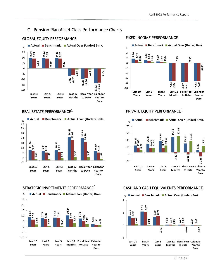# C. Pension Plan Asset Class Performance Charts

# GLOBAL EQUITY PERFORMANCE **FIXED INCOME PERFORMANCE**









# REAL ESTATE PERFORMANCE<sup>1</sup>  $\blacksquare$ PRIVATE EQUITY PERFORMANCE<sup>1</sup>



### STRATEGIC INVESTMENTS PERFORMANCE<sup>1</sup> CASH AND CASH EQUIVALENTS PERFORMANCE

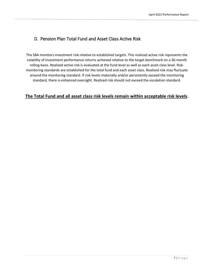# D. Pension Plan Total Fund and Asset Class Active Risk

The SBA monitors investment risk relative to established targets. This realized active risk represents the volatility of investment performance returns achieved relative to the target benchmark on a 36-month rolling basis. Realized active risk is evaluated at the fund level as well as each asset class level. Riskmonitoring standards are established for the total fund and each asset class. Realized risk may fluctuate around the monitoring standard. If risk levels materially and/or persistently exceed the monitoring standard, there is enhanced oversight. Realized risk should not exceed the escalation standard.

# **The Total Fund and all asset class risk levels remain within acceptable risk levels**.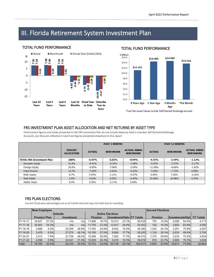# III. Florida Retirement System Investment Plan

### **TOTAL FUND PERFORMANCE**



## TOTAL FUND PERFORMANCE



Fund Net Asset Values include Self-Directed Brokerage account

## FRS INVESTMENT PLAN ASSET ALLOCATION AND NET RETURNS BY ASSET TYPE

Performance figures and totals presented to the FRS Investment Plan do not include balances held in member Self Directed Brokerage Accounts, but they are reflected in total fund figures presented elsewhere in this report.

|                                  |                                     |               | <b>PAST 3 MONTHS</b> |                                         | <b>PAST 12 MONTHS</b>    |                  |                                         |  |
|----------------------------------|-------------------------------------|---------------|----------------------|-----------------------------------------|--------------------------|------------------|-----------------------------------------|--|
|                                  | <b>PERCENT</b><br><b>ALLOCATION</b> | <b>ACTUAL</b> | <b>BENCHMARK</b>     | <b>ACTUAL MINUS</b><br><b>BENCHMARK</b> | <b>ACTUAL</b>            | <b>BENCHMARK</b> | <b>ACTUAL MINUS</b><br><b>BENCHMARK</b> |  |
| <b>TOTAL FRS Investment Plan</b> | <b>100%</b>                         | $-6.97%$      | $-6.03%$             | $-0.94%$                                | $-4.55%$                 | $-3.44%$         | $-1.12%$                                |  |
| <b>Domestic Equity</b>           | 41.6%                               | $-9.41%$      | $-8.34%$             | $-1.08%$                                | $-5.54%$                 | $-3.37%$         | $-2.17%$                                |  |
| <b>Foreign Equity</b>            | 20.6%                               | $-9.95%$      | $-7.90\%$            | $-2.04%$                                | $-11.58%$                | $-9.66%$         | $-1.92%$                                |  |
| Fixed Income                     | 15.7%                               | $-7.05%$      | $-6.83%$             | $-0.22%$                                | $-7.64%$                 | $-7.73%$         | 0.08%                                   |  |
| Multi Assets                     | 8.7%                                | 0.54%         | 1.11%                | $-0.57%$                                | 6.90%                    | 7.26%            | $-0.36%$                                |  |
| <b>Real Estate</b>               | 3.9%                                | 5.63%         | 6.02%                | $-0.40%$                                | 25.68%                   | 20.98%           | 4.70%                                   |  |
| Stable Value                     | 9.4%                                | 0.39%         | $-2.17%$             | 2.56%                                   | $\overline{\phantom{a}}$ | ٠                | $\overline{\phantom{a}}$                |  |

## FRS PLAN ELECTIONS

Current fiscal-year percentages are as of month end and may not total due to rounding.

|          |                                   | <b>New Employee</b> |                 |                                                    |        |       |        |                |         |                            |       | <b>Second Elections</b> |       |        |  |  |
|----------|-----------------------------------|---------------------|-----------------|----------------------------------------------------|--------|-------|--------|----------------|---------|----------------------------|-------|-------------------------|-------|--------|--|--|
|          |                                   |                     | <b>Defaults</b> | <b>Active Elections</b>                            |        |       |        |                |         |                            |       |                         |       |        |  |  |
|          | <b>Pension Plan</b><br>Investment |                     |                 | <b>Investment/HybrIFY Totals</b><br><b>Pension</b> |        |       |        | <b>Pension</b> |         | Investments/Hybl FY Totals |       |                         |       |        |  |  |
| FY 16-17 | 34.627                            | 57.2%               | n/a             | n/a                                                | 11.898 | 19.7% | 14.013 | 23.1%          | 60,538  | 765                        | 16.0% | 4.008                   | 84.0% | 4.773  |  |  |
| FY 17-18 | 30,081                            | 54.3%               | n/a             | n/a                                                | 11.755 | 21.2% | 13,617 | 24.6%          | 55,453  | 742                        | 16.2% | 3,850                   | 83.8% | 4.592  |  |  |
| FY 18-19 | 2.888                             | 6.2%                | 23,009          | 49.6%                                              | 11.556 | 24.9% | 8.932  | 19.3%          | 46,385  | 1.036                      | 24.1% | 3.261                   | 75.9% | 4,297  |  |  |
| FY 19-20 | 3.478                             | 6.2%                | 27.576          | 49.1%                                              | 15.195 | 27.0% | 9.956  | 17.7%          | 56,205  | 1.130                      | 30.1% | 2.630                   | 69.9% | 3,760  |  |  |
| FY 20-21 | 3.413                             | 7.6%                | 21,708          | 48.2%                                              | 12,089 | 26.9% | 7.802  | 17.3%          | 45,012  | 1.370                      | 29.8% | 3.234                   | 70.2% | 4.604  |  |  |
| FY 21-22 | 2.298                             | 5.9%                | 20.041          | 51.4%                                              | 10.260 | 26.3% | 6.419  | 16.5%          | 39,018  | 910                        | 23.7% | 2,928                   | 76.3% | 3,838  |  |  |
| Total    | 76.785                            | 25.4%               | 92.334          | 30.5%                                              | 72.753 | 24.0% | 60.739 | 20.1%          | 302.611 | 5.953                      | 23.0% | 19.911                  | 77.0% | 25.864 |  |  |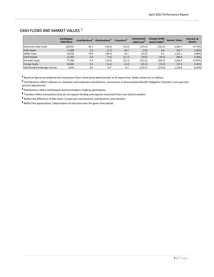# CASH FLOWS AND MARKET VALUES 1

|                                 | <b>Participant</b><br><b>Selections</b> | Contributions <sup>2</sup> | Distributions <sup>3</sup> | <b>Transfers<sup>4</sup></b> | Investment<br>Gain/Loss <sup>3</sup> | <b>Change in Net</b><br>Asset Value <sup>6</sup> | <b>Market Value</b> | <b>Percent of</b><br><b>Assets</b> |
|---------------------------------|-----------------------------------------|----------------------------|----------------------------|------------------------------|--------------------------------------|--------------------------------------------------|---------------------|------------------------------------|
| Retirement Date Funds           | 239,672                                 | 62.2                       | (48.9)                     | (23.9)                       | (372.0)                              | (382.5)                                          | 6,504.7             | 47.79%                             |
| Multi-Assets                    | 11,829                                  | 2.0                        | (3.7)                      | 19.3                         | (7.9)                                | 9.8                                              | 221.7               | 1.63%                              |
| Stable Value                    | 18,160                                  | 30.9                       | (39.4)                     | 34.3                         | (16.5)                               | 9.1                                              | 1,181.1             | 8.68%                              |
| <b>Fixed Income</b>             | 31,393                                  | 2.9                        | (7.4)                      | (11.1)                       | (19.0)                               | (34.5)                                           | 584.9               | 4.30%                              |
| Domestic Equity                 | 77,380                                  | 9.7                        | (19.4)                     | (21.2)                       | (333.6)                              | (364.5)                                          | 3,261.8             | 23.97%                             |
| <b>Foreign Equity</b>           | 50,082                                  | 2.3                        | (5.2)                      | (4.1)                        | (65.3)                               | (72.3)                                           | 737.0               | 5.42%                              |
| Self-Directed Brokerage Account | 5,345                                   | 0.0                        | 0.0                        | 6.7                          | (116.7)                              | (110.0)                                          | 1,118.8             | 8.22%                              |

Based on figures provided by the Investment Plan's third-party administrator as of report time. Dollar values are in millions.

 Contributions reflect rollovers in, employer and employee contributions, conversions in (Accumulated Benefit Obligation Transfers, true ups) and account adjustments.

Distributions reflect withdrawals and terminations made by participants.

Transfers reflect transactions that do not require funding and capture movement from one fund to another.

Reflect the difference of Net Gains / Losses less contributions, distributions, and transfers.

Reflect the appreciation / depreciation of unit price over the given time period.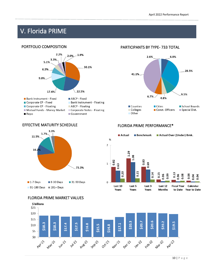# V. Florida PRIME

# PORTFOLIO COMPOSITION



Mutual Funds - Money Market  $Repo$ 

Corporate Notes - Floating

- 
- Government

# PARTICIPANTS BY TYPE- 733 TOTAL



## EFFECTIVE MATURITY SCHEDULE FLORIDA PRIME PERFORMANCE\*





### FLORIDA PRIME MARKET VALUES